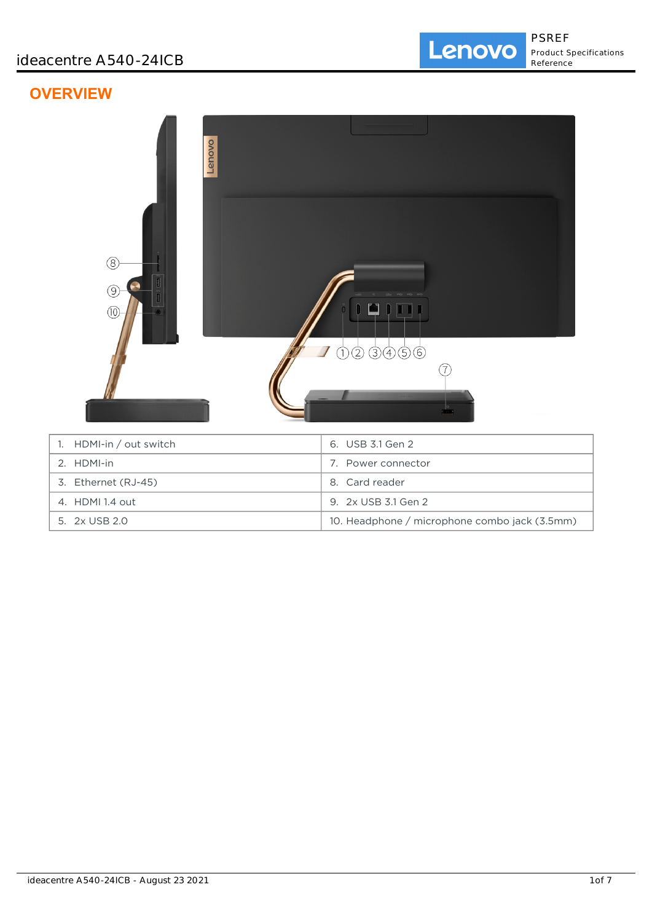# **OVERVIEW**



5. 2x USB 2.0 10. Headphone / microphone combo jack (3.5mm)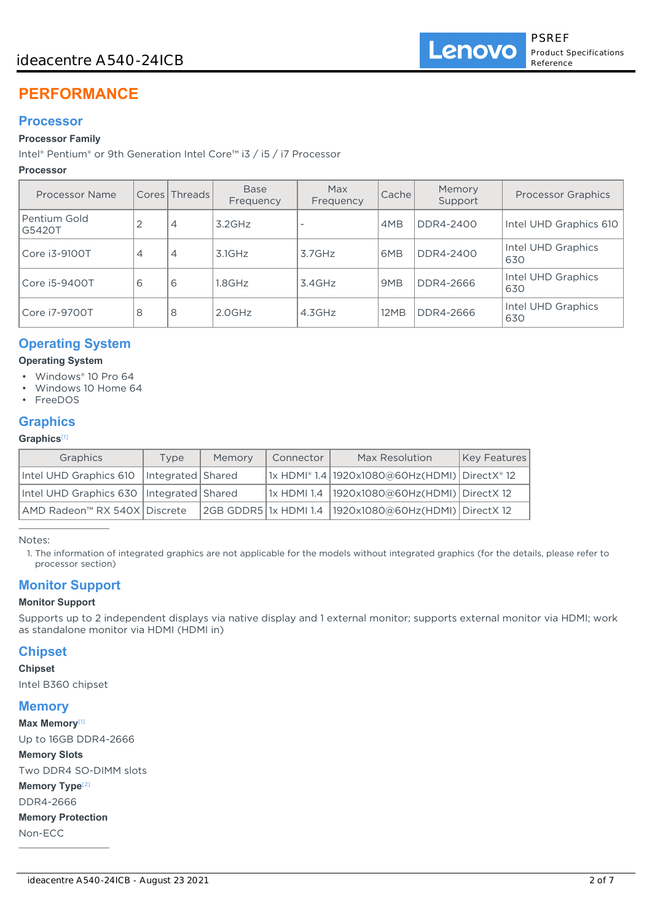# ideacentre A540-24ICB

# **PERFORMANCE**

### **Processor**

#### **Processor Family**

Intel® Pentium® or 9th Generation Intel Core™ i3 / i5 / i7 Processor

#### **Processor**

| Processor Name         |   | Cores Threads  | <b>Base</b><br>Frequency | Max<br>Frequency | Cache | Memory<br>Support | <b>Processor Graphics</b> |
|------------------------|---|----------------|--------------------------|------------------|-------|-------------------|---------------------------|
| Pentium Gold<br>G5420T | 2 | 4              | $3.2$ GHz                |                  | 4MB   | DDR4-2400         | Intel UHD Graphics 610    |
| Core i3-9100T          | 4 | $\overline{4}$ | $3.1$ GHz                | 3.7GHz           | 6MB   | DDR4-2400         | Intel UHD Graphics<br>630 |
| Core i5-9400T          | 6 | 6              | .8GHz                    | 3.4GHz           | 9MB   | DDR4-2666         | Intel UHD Graphics<br>630 |
| Core i7-9700T          | 8 | 8              | $2.0$ GHz                | 4.3GHz           | 12MB  | DDR4-2666         | Intel UHD Graphics<br>630 |

# **Operating System**

#### **Operating System**

- Windows® 10 Pro 64
- Windows 10 Home 64
- FreeDOS

# **Graphics**

### **Graphics**[1]

| Graphics                                   | Type                | Memory | Connector | Max Resolution                                            | Key Features |
|--------------------------------------------|---------------------|--------|-----------|-----------------------------------------------------------|--------------|
| Intel UHD Graphics 610                     | Integrated   Shared |        |           | 1x HDMI® 1.4   1920x1080@60Hz(HDMI)   DirectX® 12         |              |
| Intel UHD Graphics 630   Integrated Shared |                     |        |           | 1x HDMI 1.4   1920x1080@60Hz(HDMI)   DirectX 12           |              |
| AMD Radeon™ RX 540X Discrete               |                     |        |           | 2GB GDDR5 1x HDMI 1.4   1920x1080@60Hz(HDMI)   DirectX 12 |              |

Notes:

1. The information of integrated graphics are not applicable for the models without integrated graphics (for the details, please refer to processor section)

# **Monitor Support**

#### **Monitor Support**

Supports up to 2 independent displays via native display and 1 external monitor; supports external monitor via HDMI; work as standalone monitor via HDMI (HDMI in)

# **Chipset**

#### **Chipset**

Intel B360 chipset

### **Memory**

**Max Memory**[1] Up to 16GB DDR4-2666

#### **Memory Slots**

Two DDR4 SO-DIMM slots **Memory Type**<sup>[2]</sup> DDR4-2666 **Memory Protection** Non-ECC

ideacentre A540-24ICB - August 23 2021 2 of 7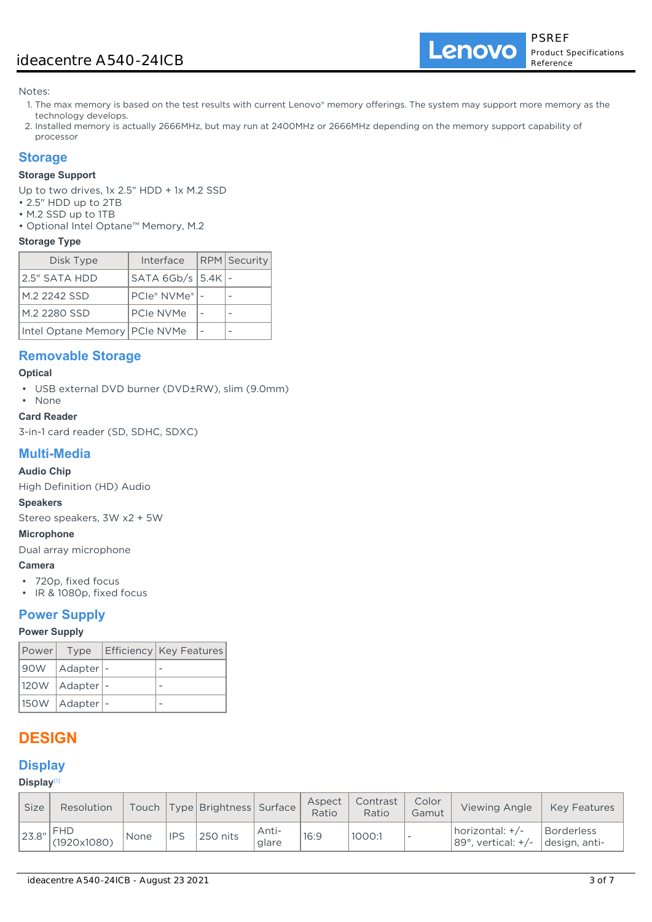Lenovo

Notes:

- 1. The max memory is based on the test results with current Lenovo® memory offerings. The system may support more memory as the technology develops.
- 2. Installed memory is actually 2666MHz, but may run at 2400MHz or 2666MHz depending on the memory support capability of processor

# **Storage**

### **Storage Support**

Up to two drives, 1x 2.5" HDD + 1x M.2 SSD

- 2.5" HDD up to 2TB
- M.2 SSD up to 1TB
- Optional Intel Optane™ Memory, M.2

#### **Storage Type**

| Disk Type                       | Interface             | <b>RPM</b> Security |
|---------------------------------|-----------------------|---------------------|
| 2.5" SATA HDD                   | SATA 6Gb/s $ 5.4K $ - |                     |
| M.2 2242 SSD                    | PCIe® NVMe®           |                     |
| M.2 2280 SSD                    | PCIe NVMe             |                     |
| Intel Optane Memory   PCIe NVMe |                       |                     |

# **Removable Storage**

#### **Optical**

• USB external DVD burner (DVD±RW), slim (9.0mm)

#### • None **Card Reader**

3-in-1 card reader (SD, SDHC, SDXC)

# **Multi-Media**

#### **Audio Chip**

High Definition (HD) Audio

#### **Speakers**

Stereo speakers, 3W x2 + 5W

# **Microphone**

Dual array microphone

### **Camera**

- 720p, fixed focus
- IR & 1080p, fixed focus

## **Power Supply**

#### **Power Supply**

|                    | Power  Type   Efficiency   Key Features |
|--------------------|-----------------------------------------|
| 90W   Adapter   -  |                                         |
| 120W   Adapter   - |                                         |
| 150W   Adapter   - |                                         |

# **DESIGN**

# **Display**

#### **Display**[1]

| <b>Size</b> | <b>Resolution</b>         |      |            | Touch   Type   Brightness   Surface |                | Aspect<br>Ratio | Contrast<br>Ratio | Color<br>Gamut           | Viewing Angle                                       | <b>Key Features</b>         |
|-------------|---------------------------|------|------------|-------------------------------------|----------------|-----------------|-------------------|--------------------------|-----------------------------------------------------|-----------------------------|
| 23.8"       | <b>FHD</b><br>(1920x1080) | None | <b>IPS</b> | 250 nits                            | Anti-<br>glare | 16:9            | 1000:1            | $\overline{\phantom{a}}$ | horizontal: $+/-$<br>89 $\degree$ , vertical: $+/-$ | Borderless<br>design, anti- |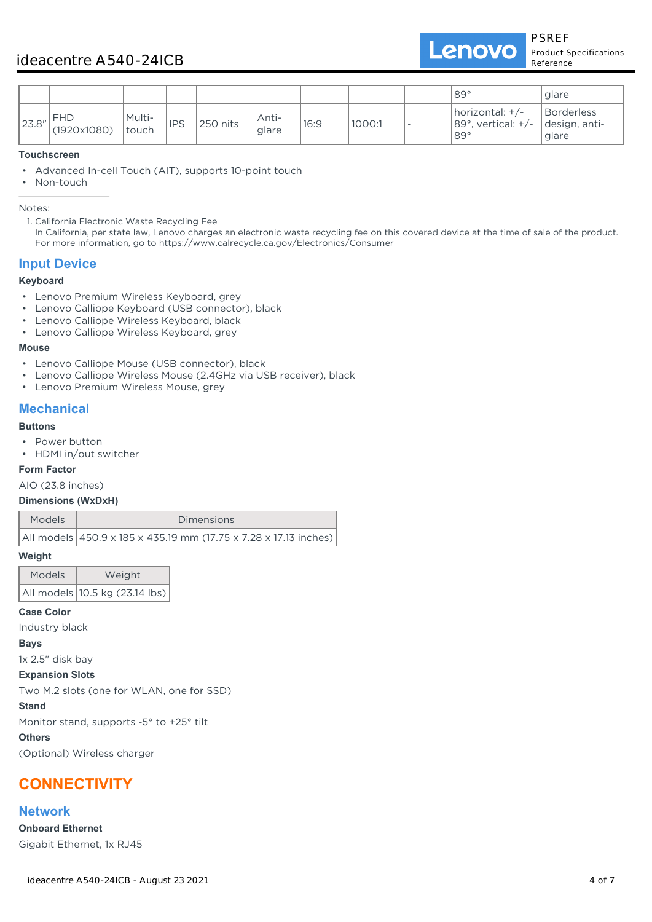PSREF Product Specifications Reference

|       |                           |                 |            |          |                |      |        | $189^\circ$                                                               | glare                                |
|-------|---------------------------|-----------------|------------|----------|----------------|------|--------|---------------------------------------------------------------------------|--------------------------------------|
| 23.8" | <b>FHD</b><br>(1920x1080) | Multi-<br>touch | <b>IPS</b> | 250 nits | Anti-<br>glare | 16:9 | 1000:1 | $ horizontal: +/-\rangle$<br>$ 89^\circ $ , vertical: $+/-$<br>$89^\circ$ | Borderless<br>design, anti-<br>glare |

#### **Touchscreen**

• Advanced In-cell Touch (AIT), supports 10-point touch

• Non-touch

Notes:

1. California Electronic Waste Recycling Fee

In California, per state law, Lenovo charges an electronic waste recycling fee on this covered device at the time of sale of the product. For more information, go to https://www.calrecycle.ca.gov/Electronics/Consumer

### **Input Device**

### **Keyboard**

- Lenovo Premium Wireless Keyboard, grey
- Lenovo Calliope Keyboard (USB connector), black
- Lenovo Calliope Wireless Keyboard, black
- Lenovo Calliope Wireless Keyboard, grey

#### **Mouse**

- Lenovo Calliope Mouse (USB connector), black
- Lenovo Calliope Wireless Mouse (2.4GHz via USB receiver), black
- Lenovo Premium Wireless Mouse, grey

# **Mechanical**

#### **Buttons**

- Power button
- HDMI in/out switcher

#### **Form Factor**

AIO (23.8 inches)

#### **Dimensions (WxDxH)**

| Models | <b>Dimensions</b>                                                |
|--------|------------------------------------------------------------------|
|        | All models 450.9 x 185 x 435.19 mm (17.75 x 7.28 x 17.13 inches) |

#### **Weight**

| <b>Models</b> | Weight                         |
|---------------|--------------------------------|
|               | All models 10.5 kg (23.14 lbs) |

#### **Case Color**

Industry black

#### **Bays**

1x 2.5" disk bay

#### **Expansion Slots**

Two M.2 slots (one for WLAN, one for SSD)

#### **Stand**

Monitor stand, supports -5° to +25° tilt

#### **Others**

(Optional) Wireless charger

# **CONNECTIVITY**

### **Network**

**Onboard Ethernet** Gigabit Ethernet, 1x RJ45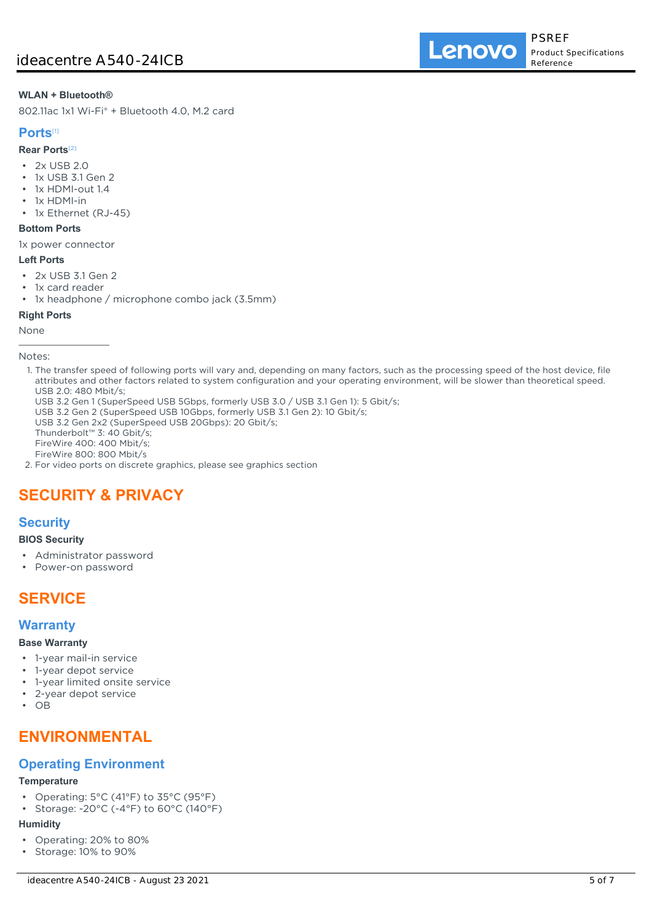#### **WLAN + Bluetooth®**

802.11ac 1x1 Wi-Fi® + Bluetooth 4.0, M.2 card

### **Ports**[1]

#### **Rear Ports**[2]

- 2x USB 2.0
- 1x USB 3.1 Gen 2
- 1x HDMI-out 1.4
- 1x HDMI-in
- 1x Ethernet (RJ-45)

# **Bottom Ports**

1x power connector

### **Left Ports**

- 2x USB 3.1 Gen 2
- 1x card reader
- 1x headphone / microphone combo jack (3.5mm)

#### **Right Ports**

#### None

Notes:

- 1. The transfer speed of following ports will vary and, depending on many factors, such as the processing speed of the host device, file attributes and other factors related to system configuration and your operating environment, will be slower than theoretical speed. USB 2.0: 480 Mbit/s;
- USB 3.2 Gen 1 (SuperSpeed USB 5Gbps, formerly USB 3.0 / USB 3.1 Gen 1): 5 Gbit/s;
- USB 3.2 Gen 2 (SuperSpeed USB 10Gbps, formerly USB 3.1 Gen 2): 10 Gbit/s;
- USB 3.2 Gen 2x2 (SuperSpeed USB 20Gbps): 20 Gbit/s;
- Thunderbolt™ 3: 40 Gbit/s;

FireWire 400: 400 Mbit/s;

FireWire 800: 800 Mbit/s

2. For video ports on discrete graphics, please see graphics section

# **SECURITY & PRIVACY**

### **Security**

#### **BIOS Security**

- Administrator password
- Power-on password

# **SERVICE**

### **Warranty**

#### **Base Warranty**

- 1-year mail-in service
- 1-year depot service
- 1-year limited onsite service
- 2-year depot service
- OB

# **ENVIRONMENTAL**

# **Operating Environment**

#### **Temperature**

- Operating: 5°C (41°F) to 35°C (95°F)
- Storage: -20°C (-4°F) to 60°C (140°F)

#### **Humidity**

- Operating: 20% to 80%
- Storage: 10% to 90%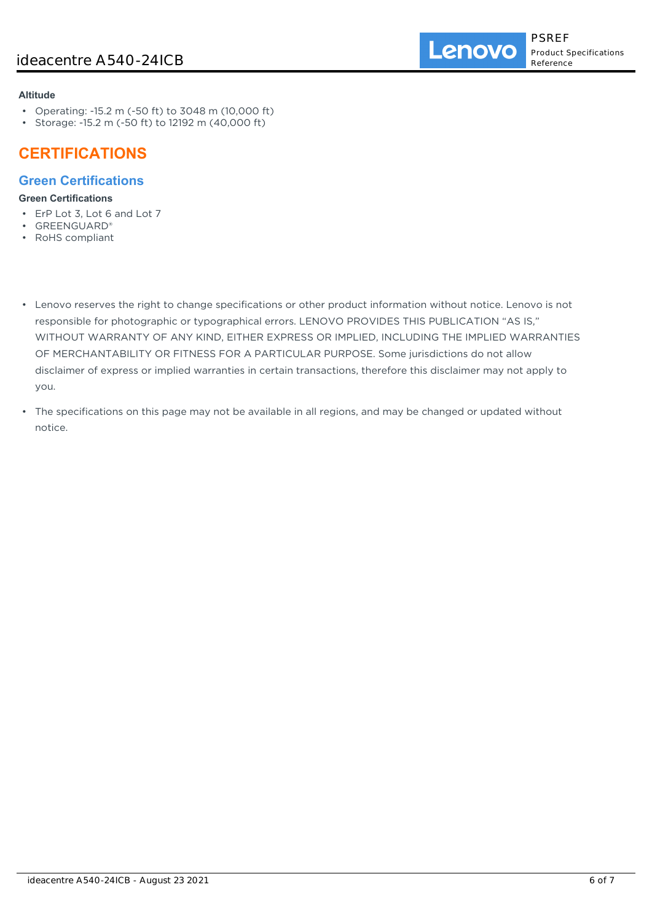#### **Altitude**

- Operating: -15.2 m (-50 ft) to 3048 m (10,000 ft)
- Storage: -15.2 m (-50 ft) to 12192 m (40,000 ft)

# **CERTIFICATIONS**

# **Green Certifications**

### **Green Certifications**

- ErP Lot 3, Lot 6 and Lot 7
- GREENGUARD®
- RoHS compliant
- Lenovo reserves the right to change specifications or other product information without notice. Lenovo is not responsible for photographic or typographical errors. LENOVO PROVIDES THIS PUBLICATION "AS IS," WITHOUT WARRANTY OF ANY KIND, EITHER EXPRESS OR IMPLIED, INCLUDING THE IMPLIED WARRANTIES OF MERCHANTABILITY OR FITNESS FOR A PARTICULAR PURPOSE. Some jurisdictions do not allow disclaimer of express or implied warranties in certain transactions, therefore this disclaimer may not apply to you.
- The specifications on this page may not be available in all regions, and may be changed or updated without notice.